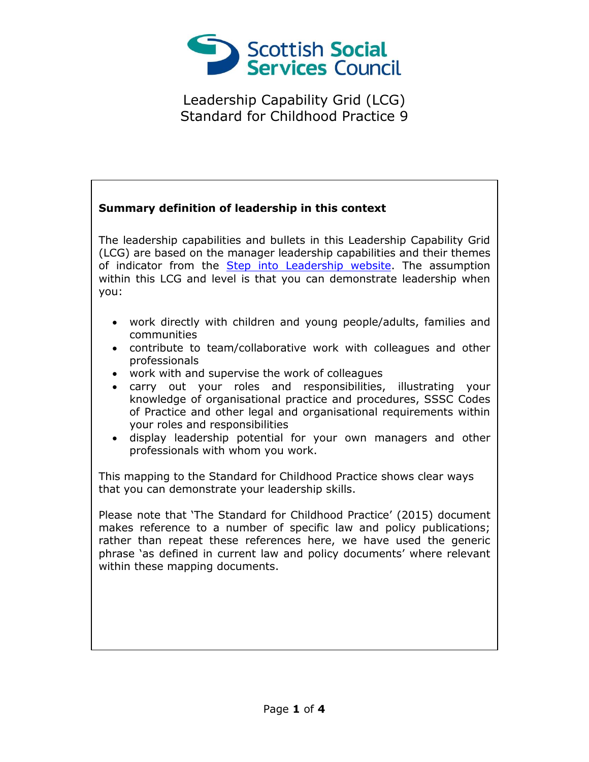

## **Summary definition of leadership in this context** The leadership capabilities and bullets in this Leadership Capability Grid (LCG) are based on the manager leadership capabilities and their themes of indicator from the [Step into Leadership website.](http://www.stepintoleadership.info/) The assumption within this LCG and level is that you can demonstrate leadership when you: work directly with children and young people/adults, families and communities contribute to team/collaborative work with colleagues and other professionals work with and supervise the work of colleagues carry out your roles and responsibilities, illustrating your knowledge of organisational practice and procedures, SSSC Codes of Practice and other legal and organisational requirements within your roles and responsibilities display leadership potential for your own managers and other professionals with whom you work. This mapping to the Standard for Childhood Practice shows clear ways that you can demonstrate your leadership skills. Please note that 'The Standard for Childhood Practice' (2015) document makes reference to a number of specific law and policy publications; rather than repeat these references here, we have used the generic phrase 'as defined in current law and policy documents' where relevant within these mapping documents.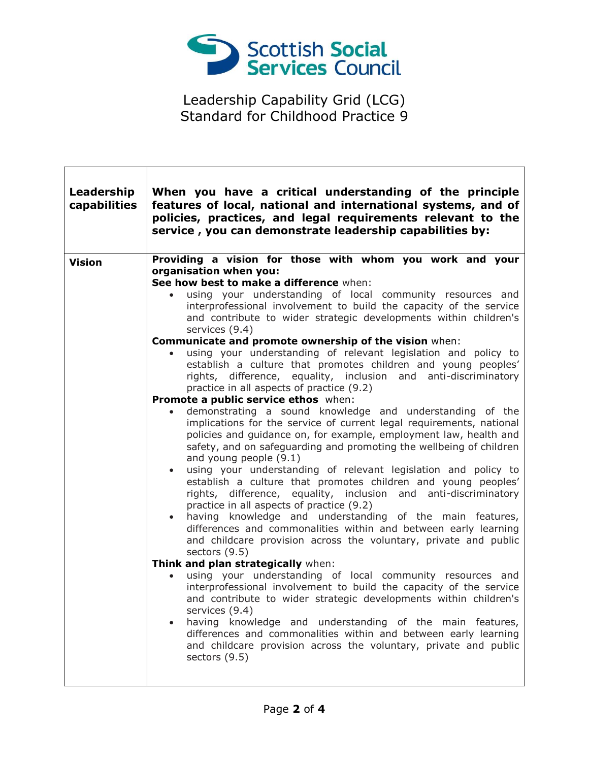

 $\Gamma$ 

| Leadership<br>capabilities | When you have a critical understanding of the principle<br>features of local, national and international systems, and of<br>policies, practices, and legal requirements relevant to the<br>service, you can demonstrate leadership capabilities by:                                                                                                                                                                                                                                                                                                                                                                                                                                                                                                                                                                                                                                                                                                                                                                                                                                                                                                                                                                                                                                                                                                                                                                                                                                                                                                                                                                                                                                                                                                                                                                                                                                                                                                                                                                                |
|----------------------------|------------------------------------------------------------------------------------------------------------------------------------------------------------------------------------------------------------------------------------------------------------------------------------------------------------------------------------------------------------------------------------------------------------------------------------------------------------------------------------------------------------------------------------------------------------------------------------------------------------------------------------------------------------------------------------------------------------------------------------------------------------------------------------------------------------------------------------------------------------------------------------------------------------------------------------------------------------------------------------------------------------------------------------------------------------------------------------------------------------------------------------------------------------------------------------------------------------------------------------------------------------------------------------------------------------------------------------------------------------------------------------------------------------------------------------------------------------------------------------------------------------------------------------------------------------------------------------------------------------------------------------------------------------------------------------------------------------------------------------------------------------------------------------------------------------------------------------------------------------------------------------------------------------------------------------------------------------------------------------------------------------------------------------|
| <b>Vision</b>              | Providing a vision for those with whom you work and your<br>organisation when you:<br>See how best to make a difference when:<br>using your understanding of local community resources and<br>$\bullet$<br>interprofessional involvement to build the capacity of the service<br>and contribute to wider strategic developments within children's<br>services (9.4)<br>Communicate and promote ownership of the vision when:<br>using your understanding of relevant legislation and policy to<br>establish a culture that promotes children and young peoples'<br>rights, difference, equality, inclusion and anti-discriminatory<br>practice in all aspects of practice (9.2)<br>Promote a public service ethos when:<br>demonstrating a sound knowledge and understanding of the<br>$\bullet$<br>implications for the service of current legal requirements, national<br>policies and guidance on, for example, employment law, health and<br>safety, and on safeguarding and promoting the wellbeing of children<br>and young people (9.1)<br>using your understanding of relevant legislation and policy to<br>$\bullet$<br>establish a culture that promotes children and young peoples'<br>rights, difference, equality, inclusion and anti-discriminatory<br>practice in all aspects of practice (9.2)<br>having knowledge and understanding of the main features,<br>$\bullet$<br>differences and commonalities within and between early learning<br>and childcare provision across the voluntary, private and public<br>sectors (9.5)<br>Think and plan strategically when:<br>using your understanding of local community resources and<br>interprofessional involvement to build the capacity of the service<br>and contribute to wider strategic developments within children's<br>services (9.4)<br>having knowledge and understanding of the main features,<br>differences and commonalities within and between early learning<br>and childcare provision across the voluntary, private and public<br>sectors (9.5) |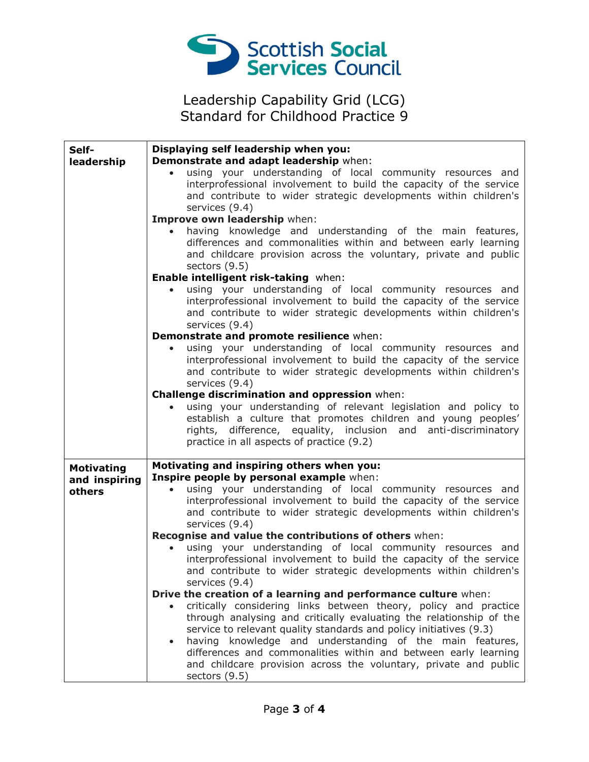

| Self-             | Displaying self leadership when you:                                   |
|-------------------|------------------------------------------------------------------------|
| leadership        | Demonstrate and adapt leadership when:                                 |
|                   | using your understanding of local community resources and              |
|                   | interprofessional involvement to build the capacity of the service     |
|                   | and contribute to wider strategic developments within children's       |
|                   | services (9.4)                                                         |
|                   | Improve own leadership when:                                           |
|                   | having knowledge and understanding of the main features,               |
|                   | differences and commonalities within and between early learning        |
|                   | and childcare provision across the voluntary, private and public       |
|                   | sectors $(9.5)$                                                        |
|                   | Enable intelligent risk-taking when:                                   |
|                   | using your understanding of local community resources and              |
|                   | interprofessional involvement to build the capacity of the service     |
|                   | and contribute to wider strategic developments within children's       |
|                   | services (9.4)                                                         |
|                   | Demonstrate and promote resilience when:                               |
|                   | using your understanding of local community resources and              |
|                   | interprofessional involvement to build the capacity of the service     |
|                   | and contribute to wider strategic developments within children's       |
|                   | services (9.4)                                                         |
|                   | Challenge discrimination and oppression when:                          |
|                   | using your understanding of relevant legislation and policy to         |
|                   | establish a culture that promotes children and young peoples'          |
|                   | rights, difference, equality, inclusion and anti-discriminatory        |
|                   | practice in all aspects of practice (9.2)                              |
|                   |                                                                        |
| <b>Motivating</b> | Motivating and inspiring others when you:                              |
| and inspiring     | Inspire people by personal example when:                               |
| others            | using your understanding of local community resources and<br>$\bullet$ |
|                   | interprofessional involvement to build the capacity of the service     |
|                   | and contribute to wider strategic developments within children's       |
|                   | services (9.4)                                                         |
|                   | Recognise and value the contributions of others when:                  |
|                   | using your understanding of local community resources and              |
|                   | interprofessional involvement to build the capacity of the service     |
|                   | and contribute to wider strategic developments within children's       |
|                   | services (9.4)                                                         |
|                   | Drive the creation of a learning and performance culture when:         |
|                   | critically considering links between theory, policy and practice       |
|                   | through analysing and critically evaluating the relationship of the    |
|                   | service to relevant quality standards and policy initiatives (9.3)     |
|                   | having knowledge and understanding of the main features,               |
|                   | differences and commonalities within and between early learning        |
|                   | and childcare provision across the voluntary, private and public       |
|                   | sectors (9.5)                                                          |